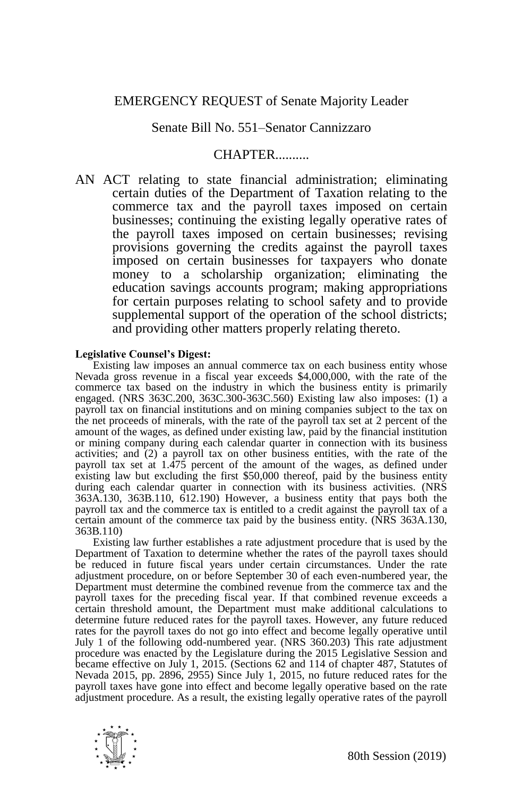# EMERGENCY REQUEST of Senate Majority Leader

## Senate Bill No. 551–Senator Cannizzaro

# CHAPTER..........

AN ACT relating to state financial administration; eliminating certain duties of the Department of Taxation relating to the commerce tax and the payroll taxes imposed on certain businesses; continuing the existing legally operative rates of the payroll taxes imposed on certain businesses; revising provisions governing the credits against the payroll taxes imposed on certain businesses for taxpayers who donate money to a scholarship organization; eliminating the education savings accounts program; making appropriations for certain purposes relating to school safety and to provide supplemental support of the operation of the school districts; and providing other matters properly relating thereto.

#### **Legislative Counsel's Digest:**

Existing law imposes an annual commerce tax on each business entity whose Nevada gross revenue in a fiscal year exceeds \$4,000,000, with the rate of the commerce tax based on the industry in which the business entity is primarily engaged. (NRS 363C.200, 363C.300-363C.560) Existing law also imposes: (1) a payroll tax on financial institutions and on mining companies subject to the tax on the net proceeds of minerals, with the rate of the payroll tax set at 2 percent of the amount of the wages, as defined under existing law, paid by the financial institution or mining company during each calendar quarter in connection with its business activities; and (2) a payroll tax on other business entities, with the rate of the payroll tax set at  $1.\overline{475}$  percent of the amount of the wages, as defined under existing law but excluding the first \$50,000 thereof, paid by the business entity during each calendar quarter in connection with its business activities. (NRS 363A.130, 363B.110, 612.190) However, a business entity that pays both the payroll tax and the commerce tax is entitled to a credit against the payroll tax of a certain amount of the commerce tax paid by the business entity. (NRS 363A.130, 363B.110)

Existing law further establishes a rate adjustment procedure that is used by the Department of Taxation to determine whether the rates of the payroll taxes should be reduced in future fiscal years under certain circumstances. Under the rate adjustment procedure, on or before September 30 of each even-numbered year, the Department must determine the combined revenue from the commerce tax and the payroll taxes for the preceding fiscal year. If that combined revenue exceeds a certain threshold amount, the Department must make additional calculations to determine future reduced rates for the payroll taxes. However, any future reduced rates for the payroll taxes do not go into effect and become legally operative until July 1 of the following odd-numbered year. (NRS 360.203) This rate adjustment procedure was enacted by the Legislature during the 2015 Legislative Session and became effective on July 1, 2015. (Sections 62 and 114 of chapter 487, Statutes of Nevada 2015, pp. 2896, 2955) Since July 1, 2015, no future reduced rates for the payroll taxes have gone into effect and become legally operative based on the rate adjustment procedure. As a result, the existing legally operative rates of the payroll

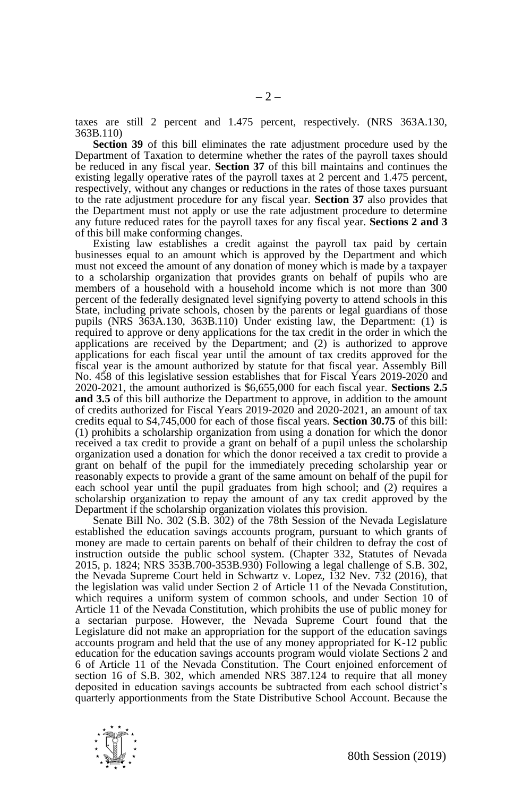taxes are still 2 percent and 1.475 percent, respectively. (NRS 363A.130, 363B.110)

**Section 39** of this bill eliminates the rate adjustment procedure used by the Department of Taxation to determine whether the rates of the payroll taxes should be reduced in any fiscal year. **Section 37** of this bill maintains and continues the existing legally operative rates of the payroll taxes at 2 percent and 1.475 percent, respectively, without any changes or reductions in the rates of those taxes pursuant to the rate adjustment procedure for any fiscal year. **Section 37** also provides that the Department must not apply or use the rate adjustment procedure to determine any future reduced rates for the payroll taxes for any fiscal year. **Sections 2 and 3** of this bill make conforming changes.

Existing law establishes a credit against the payroll tax paid by certain businesses equal to an amount which is approved by the Department and which must not exceed the amount of any donation of money which is made by a taxpayer to a scholarship organization that provides grants on behalf of pupils who are members of a household with a household income which is not more than 300 percent of the federally designated level signifying poverty to attend schools in this State, including private schools, chosen by the parents or legal guardians of those pupils (NRS 363A.130, 363B.110) Under existing law, the Department: (1) is required to approve or deny applications for the tax credit in the order in which the applications are received by the Department; and (2) is authorized to approve applications for each fiscal year until the amount of tax credits approved for the fiscal year is the amount authorized by statute for that fiscal year. Assembly Bill No. 458 of this legislative session establishes that for Fiscal Years 2019-2020 and 2020-2021, the amount authorized is \$6,655,000 for each fiscal year. **Sections 2.5 and 3.5** of this bill authorize the Department to approve, in addition to the amount of credits authorized for Fiscal Years 2019-2020 and 2020-2021, an amount of tax credits equal to \$4,745,000 for each of those fiscal years. **Section 30.75** of this bill: (1) prohibits a scholarship organization from using a donation for which the donor received a tax credit to provide a grant on behalf of a pupil unless the scholarship organization used a donation for which the donor received a tax credit to provide a grant on behalf of the pupil for the immediately preceding scholarship year or reasonably expects to provide a grant of the same amount on behalf of the pupil for each school year until the pupil graduates from high school; and (2) requires a scholarship organization to repay the amount of any tax credit approved by the Department if the scholarship organization violates this provision.

Senate Bill No. 302 (S.B. 302) of the 78th Session of the Nevada Legislature established the education savings accounts program, pursuant to which grants of money are made to certain parents on behalf of their children to defray the cost of instruction outside the public school system. (Chapter 332, Statutes of Nevada 2015, p. 1824; NRS 353B.700-353B.930) Following a legal challenge of S.B. 302, the Nevada Supreme Court held in Schwartz v. Lopez, 132 Nev. 732 (2016), that the legislation was valid under Section 2 of Article 11 of the Nevada Constitution, which requires a uniform system of common schools, and under Section 10 of Article 11 of the Nevada Constitution, which prohibits the use of public money for a sectarian purpose. However, the Nevada Supreme Court found that the Legislature did not make an appropriation for the support of the education savings accounts program and held that the use of any money appropriated for K-12 public education for the education savings accounts program would violate Sections 2 and 6 of Article 11 of the Nevada Constitution. The Court enjoined enforcement of section 16 of S.B. 302, which amended NRS 387.124 to require that all money deposited in education savings accounts be subtracted from each school district's quarterly apportionments from the State Distributive School Account. Because the

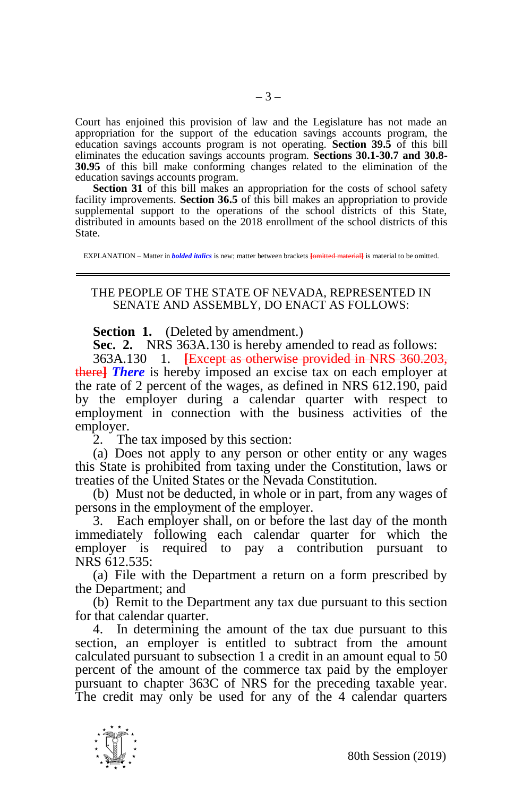Court has enjoined this provision of law and the Legislature has not made an appropriation for the support of the education savings accounts program, the education savings accounts program is not operating. **Section 39.5** of this bill eliminates the education savings accounts program. **Sections 30.1-30.7 and 30.8- 30.95** of this bill make conforming changes related to the elimination of the education savings accounts program.

**Section 31** of this bill makes an appropriation for the costs of school safety facility improvements. **Section 36.5** of this bill makes an appropriation to provide supplemental support to the operations of the school districts of this State, distributed in amounts based on the 2018 enrollment of the school districts of this State.

EXPLANATION – Matter in *bolded italics* is new; matter between brackets **[**omitted material**]** is material to be omitted.

### THE PEOPLE OF THE STATE OF NEVADA, REPRESENTED IN SENATE AND ASSEMBLY, DO ENACT AS FOLLOWS:

**Section 1.** (Deleted by amendment.)

**Sec. 2.** NRS 363A.130 is hereby amended to read as follows: 363A.130 1. **[**Except as otherwise provided in NRS 360.203, there**]** *There* is hereby imposed an excise tax on each employer at the rate of 2 percent of the wages, as defined in NRS 612.190, paid by the employer during a calendar quarter with respect to employment in connection with the business activities of the employer.

2. The tax imposed by this section:

(a) Does not apply to any person or other entity or any wages this State is prohibited from taxing under the Constitution, laws or treaties of the United States or the Nevada Constitution.

(b) Must not be deducted, in whole or in part, from any wages of persons in the employment of the employer.

3. Each employer shall, on or before the last day of the month immediately following each calendar quarter for which the employer is required to pay a contribution pursuant to NRS 612.535:

(a) File with the Department a return on a form prescribed by the Department; and

(b) Remit to the Department any tax due pursuant to this section for that calendar quarter.

4. In determining the amount of the tax due pursuant to this section, an employer is entitled to subtract from the amount calculated pursuant to subsection 1 a credit in an amount equal to 50 percent of the amount of the commerce tax paid by the employer pursuant to chapter 363C of NRS for the preceding taxable year. The credit may only be used for any of the 4 calendar quarters

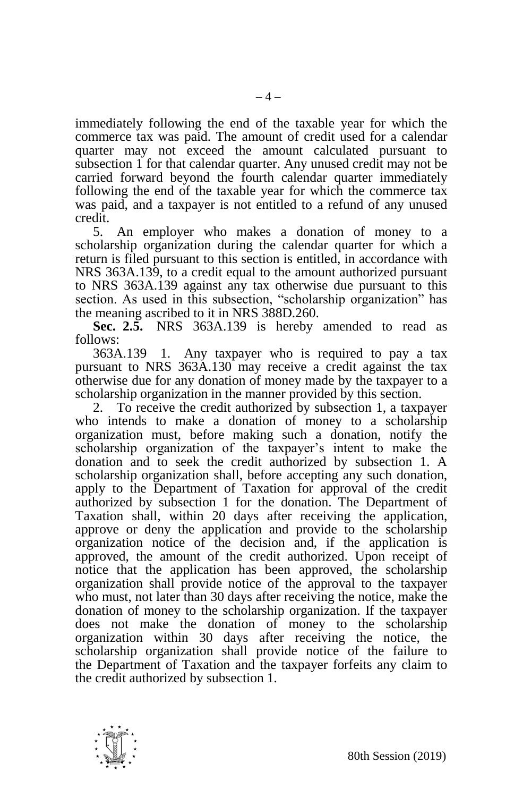immediately following the end of the taxable year for which the commerce tax was paid. The amount of credit used for a calendar quarter may not exceed the amount calculated pursuant to subsection 1 for that calendar quarter. Any unused credit may not be carried forward beyond the fourth calendar quarter immediately following the end of the taxable year for which the commerce tax was paid, and a taxpayer is not entitled to a refund of any unused credit.

5. An employer who makes a donation of money to a scholarship organization during the calendar quarter for which a return is filed pursuant to this section is entitled, in accordance with NRS 363A.139, to a credit equal to the amount authorized pursuant to NRS 363A.139 against any tax otherwise due pursuant to this section. As used in this subsection, "scholarship organization" has the meaning ascribed to it in NRS 388D.260.

**Sec. 2.5.** NRS 363A.139 is hereby amended to read as follows:

363A.139 1. Any taxpayer who is required to pay a tax pursuant to NRS 363A.130 may receive a credit against the tax otherwise due for any donation of money made by the taxpayer to a scholarship organization in the manner provided by this section.

2. To receive the credit authorized by subsection 1, a taxpayer who intends to make a donation of money to a scholarship organization must, before making such a donation, notify the scholarship organization of the taxpayer's intent to make the donation and to seek the credit authorized by subsection 1. A scholarship organization shall, before accepting any such donation, apply to the Department of Taxation for approval of the credit authorized by subsection 1 for the donation. The Department of Taxation shall, within 20 days after receiving the application, approve or deny the application and provide to the scholarship organization notice of the decision and, if the application is approved, the amount of the credit authorized. Upon receipt of notice that the application has been approved, the scholarship organization shall provide notice of the approval to the taxpayer who must, not later than 30 days after receiving the notice, make the donation of money to the scholarship organization. If the taxpayer does not make the donation of money to the scholarship organization within 30 days after receiving the notice, the scholarship organization shall provide notice of the failure to the Department of Taxation and the taxpayer forfeits any claim to the credit authorized by subsection 1.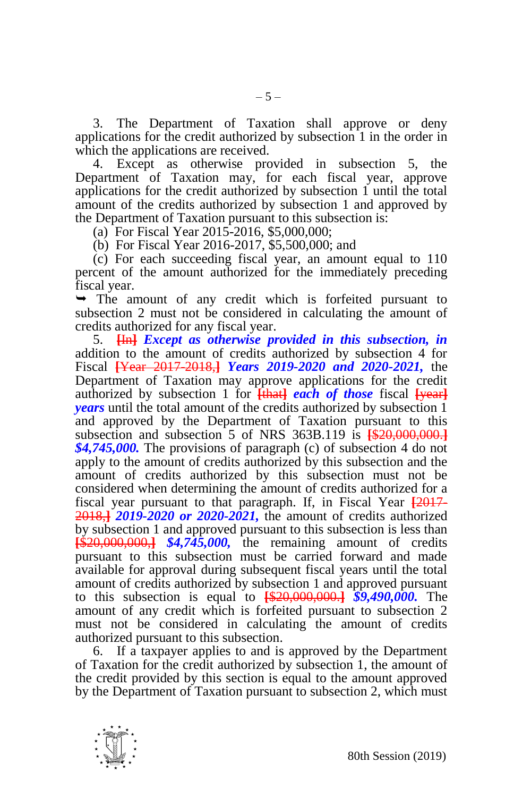3. The Department of Taxation shall approve or deny applications for the credit authorized by subsection 1 in the order in which the applications are received.

4. Except as otherwise provided in subsection 5, the Department of Taxation may, for each fiscal year, approve applications for the credit authorized by subsection 1 until the total amount of the credits authorized by subsection 1 and approved by the Department of Taxation pursuant to this subsection is:

(a) For Fiscal Year 2015-2016, \$5,000,000;

(b) For Fiscal Year 2016-2017, \$5,500,000; and

(c) For each succeeding fiscal year, an amount equal to 110 percent of the amount authorized for the immediately preceding fiscal year.

 The amount of any credit which is forfeited pursuant to subsection 2 must not be considered in calculating the amount of credits authorized for any fiscal year.

5. **[**In**]** *Except as otherwise provided in this subsection, in*  addition to the amount of credits authorized by subsection 4 for Fiscal **[**Year 2017-2018,**]** *Years 2019-2020 and 2020-2021,* the Department of Taxation may approve applications for the credit authorized by subsection 1 for **[that]** *each of those* fiscal **[year]** *years* until the total amount of the credits authorized by subsection 1 and approved by the Department of Taxation pursuant to this subsection and subsection 5 of NRS 363B.119 is **[**\$20,000,000.**]** *\$4,745,000.* The provisions of paragraph (c) of subsection 4 do not apply to the amount of credits authorized by this subsection and the amount of credits authorized by this subsection must not be considered when determining the amount of credits authorized for a fiscal year pursuant to that paragraph. If, in Fiscal Year **[**2017- 2018,**]** *2019-2020 or 2020-2021,* the amount of credits authorized by subsection 1 and approved pursuant to this subsection is less than **[**\$20,000,000,**]** *\$4,745,000,* the remaining amount of credits pursuant to this subsection must be carried forward and made available for approval during subsequent fiscal years until the total amount of credits authorized by subsection 1 and approved pursuant to this subsection is equal to **[**\$20,000,000.**]** *\$9,490,000.* The amount of any credit which is forfeited pursuant to subsection 2 must not be considered in calculating the amount of credits authorized pursuant to this subsection.

6. If a taxpayer applies to and is approved by the Department of Taxation for the credit authorized by subsection 1, the amount of the credit provided by this section is equal to the amount approved by the Department of Taxation pursuant to subsection 2, which must

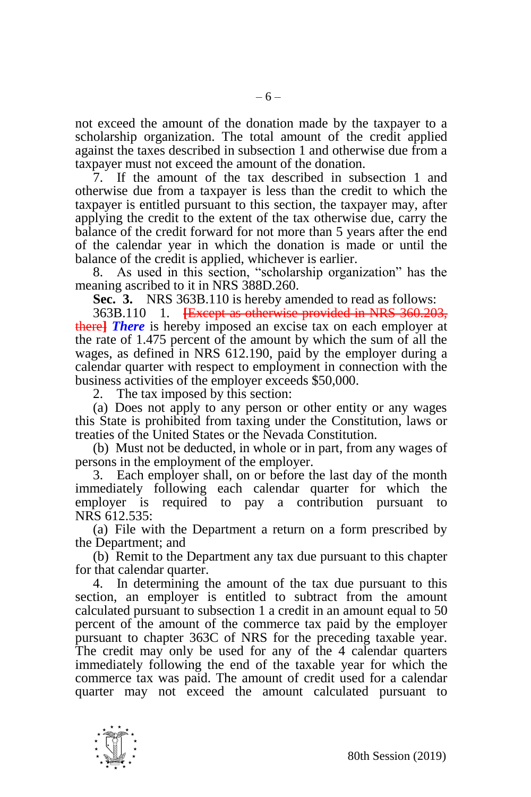not exceed the amount of the donation made by the taxpayer to a scholarship organization. The total amount of the credit applied against the taxes described in subsection 1 and otherwise due from a taxpayer must not exceed the amount of the donation.

7. If the amount of the tax described in subsection 1 and otherwise due from a taxpayer is less than the credit to which the taxpayer is entitled pursuant to this section, the taxpayer may, after applying the credit to the extent of the tax otherwise due, carry the balance of the credit forward for not more than 5 years after the end of the calendar year in which the donation is made or until the balance of the credit is applied, whichever is earlier.

8. As used in this section, "scholarship organization" has the meaning ascribed to it in NRS 388D.260.

**Sec. 3.** NRS 363B.110 is hereby amended to read as follows:

363B.110 1. **[**Except as otherwise provided in NRS 360.203, there**]** *There* is hereby imposed an excise tax on each employer at the rate of 1.475 percent of the amount by which the sum of all the wages, as defined in NRS 612.190, paid by the employer during a calendar quarter with respect to employment in connection with the business activities of the employer exceeds \$50,000.

2. The tax imposed by this section:

(a) Does not apply to any person or other entity or any wages this State is prohibited from taxing under the Constitution, laws or treaties of the United States or the Nevada Constitution.

(b) Must not be deducted, in whole or in part, from any wages of persons in the employment of the employer.

3. Each employer shall, on or before the last day of the month immediately following each calendar quarter for which the employer is required to pay a contribution pursuant to NRS 612.535:

(a) File with the Department a return on a form prescribed by the Department; and

(b) Remit to the Department any tax due pursuant to this chapter for that calendar quarter.

4. In determining the amount of the tax due pursuant to this section, an employer is entitled to subtract from the amount calculated pursuant to subsection 1 a credit in an amount equal to 50 percent of the amount of the commerce tax paid by the employer pursuant to chapter 363C of NRS for the preceding taxable year. The credit may only be used for any of the 4 calendar quarters immediately following the end of the taxable year for which the commerce tax was paid. The amount of credit used for a calendar quarter may not exceed the amount calculated pursuant to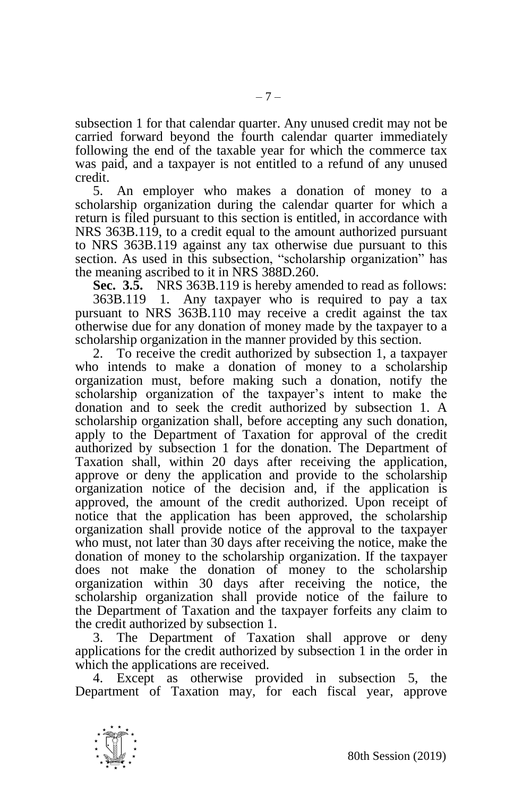subsection 1 for that calendar quarter. Any unused credit may not be carried forward beyond the fourth calendar quarter immediately following the end of the taxable year for which the commerce tax was paid, and a taxpayer is not entitled to a refund of any unused credit.

5. An employer who makes a donation of money to a scholarship organization during the calendar quarter for which a return is filed pursuant to this section is entitled, in accordance with NRS 363B.119, to a credit equal to the amount authorized pursuant to NRS 363B.119 against any tax otherwise due pursuant to this section. As used in this subsection, "scholarship organization" has the meaning ascribed to it in NRS 388D.260.

**Sec. 3.5.** NRS 363B.119 is hereby amended to read as follows: 363B.119 1. Any taxpayer who is required to pay a tax pursuant to NRS 363B.110 may receive a credit against the tax otherwise due for any donation of money made by the taxpayer to a scholarship organization in the manner provided by this section.

2. To receive the credit authorized by subsection 1, a taxpayer who intends to make a donation of money to a scholarship organization must, before making such a donation, notify the scholarship organization of the taxpayer's intent to make the donation and to seek the credit authorized by subsection 1. A scholarship organization shall, before accepting any such donation, apply to the Department of Taxation for approval of the credit authorized by subsection 1 for the donation. The Department of Taxation shall, within 20 days after receiving the application, approve or deny the application and provide to the scholarship organization notice of the decision and, if the application is approved, the amount of the credit authorized. Upon receipt of notice that the application has been approved, the scholarship organization shall provide notice of the approval to the taxpayer who must, not later than 30 days after receiving the notice, make the donation of money to the scholarship organization. If the taxpayer does not make the donation of money to the scholarship organization within 30 days after receiving the notice, the scholarship organization shall provide notice of the failure to the Department of Taxation and the taxpayer forfeits any claim to the credit authorized by subsection 1.

3. The Department of Taxation shall approve or deny applications for the credit authorized by subsection 1 in the order in which the applications are received.

4. Except as otherwise provided in subsection 5, the Department of Taxation may, for each fiscal year, approve

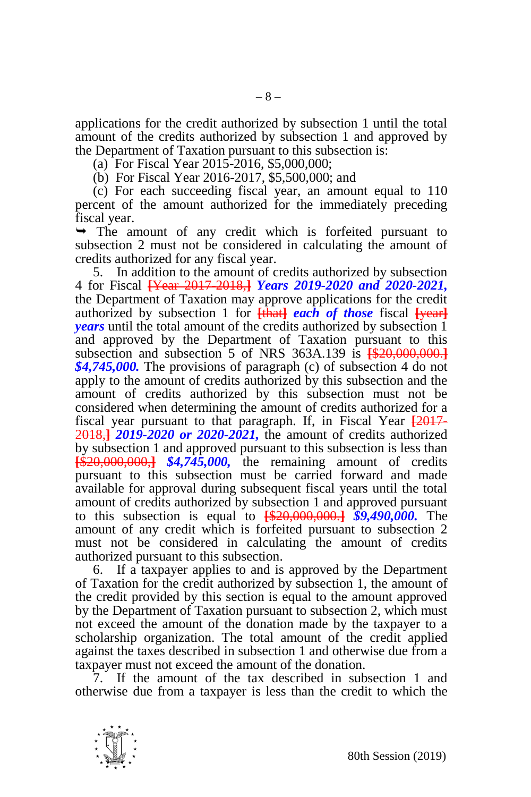applications for the credit authorized by subsection 1 until the total amount of the credits authorized by subsection 1 and approved by the Department of Taxation pursuant to this subsection is:

(a) For Fiscal Year 2015-2016, \$5,000,000;

(b) For Fiscal Year 2016-2017, \$5,500,000; and

(c) For each succeeding fiscal year, an amount equal to 110 percent of the amount authorized for the immediately preceding fiscal year.

 $\rightarrow$  The amount of any credit which is forfeited pursuant to subsection 2 must not be considered in calculating the amount of credits authorized for any fiscal year.

5. In addition to the amount of credits authorized by subsection 4 for Fiscal **[**Year 2017-2018,**]** *Years 2019-2020 and 2020-2021,*  the Department of Taxation may approve applications for the credit authorized by subsection 1 for **[that]** *each* of **those** fiscal [year] *years* until the total amount of the credits authorized by subsection 1 and approved by the Department of Taxation pursuant to this subsection and subsection 5 of NRS 363A.139 is **[**\$20,000,000.**]** *\$4,745,000.* The provisions of paragraph (c) of subsection 4 do not apply to the amount of credits authorized by this subsection and the amount of credits authorized by this subsection must not be considered when determining the amount of credits authorized for a fiscal year pursuant to that paragraph. If, in Fiscal Year **[**2017- 2018,**]** *2019-2020 or 2020-2021,* the amount of credits authorized by subsection 1 and approved pursuant to this subsection is less than **[**\$20,000,000,**]** *\$4,745,000,* the remaining amount of credits pursuant to this subsection must be carried forward and made available for approval during subsequent fiscal years until the total amount of credits authorized by subsection 1 and approved pursuant to this subsection is equal to **[**\$20,000,000.**]** *\$9,490,000.* The amount of any credit which is forfeited pursuant to subsection 2 must not be considered in calculating the amount of credits authorized pursuant to this subsection.

6. If a taxpayer applies to and is approved by the Department of Taxation for the credit authorized by subsection 1, the amount of the credit provided by this section is equal to the amount approved by the Department of Taxation pursuant to subsection 2, which must not exceed the amount of the donation made by the taxpayer to a scholarship organization. The total amount of the credit applied against the taxes described in subsection 1 and otherwise due from a taxpayer must not exceed the amount of the donation.

7. If the amount of the tax described in subsection 1 and otherwise due from a taxpayer is less than the credit to which the

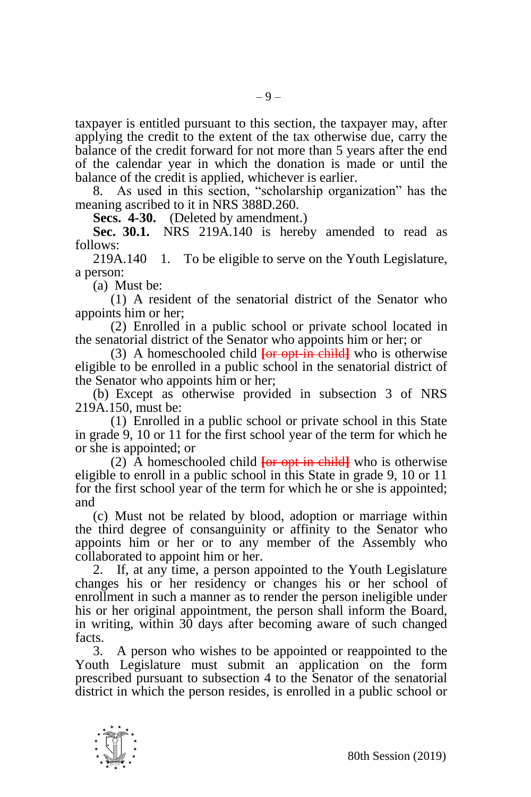taxpayer is entitled pursuant to this section, the taxpayer may, after applying the credit to the extent of the tax otherwise due, carry the balance of the credit forward for not more than 5 years after the end of the calendar year in which the donation is made or until the balance of the credit is applied, whichever is earlier.

8. As used in this section, "scholarship organization" has the meaning ascribed to it in NRS 388D.260.

**Secs. 4-30.** (Deleted by amendment.)

**Sec. 30.1.** NRS 219A.140 is hereby amended to read as follows:

219A.140 1. To be eligible to serve on the Youth Legislature, a person:

(a) Must be:

(1) A resident of the senatorial district of the Senator who appoints him or her;

(2) Enrolled in a public school or private school located in the senatorial district of the Senator who appoints him or her; or

(3) A homeschooled child **[**or opt-in child**]** who is otherwise eligible to be enrolled in a public school in the senatorial district of the Senator who appoints him or her;

(b) Except as otherwise provided in subsection 3 of NRS 219A.150, must be:

(1) Enrolled in a public school or private school in this State in grade 9, 10 or 11 for the first school year of the term for which he or she is appointed; or

(2) A homeschooled child **[**or opt-in child**]** who is otherwise eligible to enroll in a public school in this State in grade 9, 10 or 11 for the first school year of the term for which he or she is appointed; and

(c) Must not be related by blood, adoption or marriage within the third degree of consanguinity or affinity to the Senator who appoints him or her or to any member of the Assembly who collaborated to appoint him or her.

2. If, at any time, a person appointed to the Youth Legislature changes his or her residency or changes his or her school of enrollment in such a manner as to render the person ineligible under his or her original appointment, the person shall inform the Board, in writing, within 30 days after becoming aware of such changed facts.

3. A person who wishes to be appointed or reappointed to the Youth Legislature must submit an application on the form prescribed pursuant to subsection 4 to the Senator of the senatorial district in which the person resides, is enrolled in a public school or

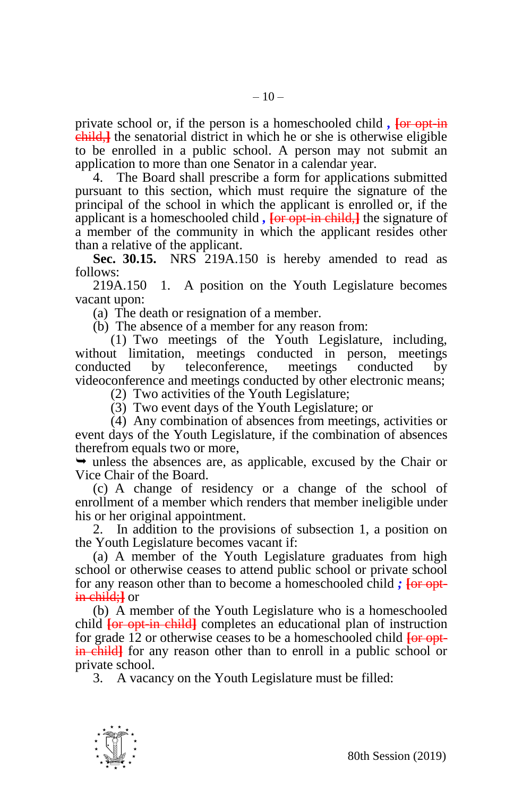private school or, if the person is a homeschooled child *,* **[**or opt-in child,**]** the senatorial district in which he or she is otherwise eligible to be enrolled in a public school. A person may not submit an application to more than one Senator in a calendar year.

4. The Board shall prescribe a form for applications submitted pursuant to this section, which must require the signature of the principal of the school in which the applicant is enrolled or, if the applicant is a homeschooled child *,* **[**or opt-in child,**]** the signature of a member of the community in which the applicant resides other than a relative of the applicant.

**Sec. 30.15.** NRS 219A.150 is hereby amended to read as follows:

219A.150 1. A position on the Youth Legislature becomes vacant upon:

(a) The death or resignation of a member.

(b) The absence of a member for any reason from:

(1) Two meetings of the Youth Legislature, including, without limitation, meetings conducted in person, meetings conducted by teleconference, meetings conducted by videoconference and meetings conducted by other electronic means;

(2) Two activities of the Youth Legislature;

(3) Two event days of the Youth Legislature; or

(4) Any combination of absences from meetings, activities or event days of the Youth Legislature, if the combination of absences therefrom equals two or more,

 $\rightarrow$  unless the absences are, as applicable, excused by the Chair or Vice Chair of the Board.

(c) A change of residency or a change of the school of enrollment of a member which renders that member ineligible under his or her original appointment.

2. In addition to the provisions of subsection 1, a position on the Youth Legislature becomes vacant if:

(a) A member of the Youth Legislature graduates from high school or otherwise ceases to attend public school or private school for any reason other than to become a homeschooled child *;* **[**or optin child;**]** or

(b) A member of the Youth Legislature who is a homeschooled child **[**or opt-in child**]** completes an educational plan of instruction for grade 12 or otherwise ceases to be a homeschooled child **[**or optin child**]** for any reason other than to enroll in a public school or private school.

3. A vacancy on the Youth Legislature must be filled: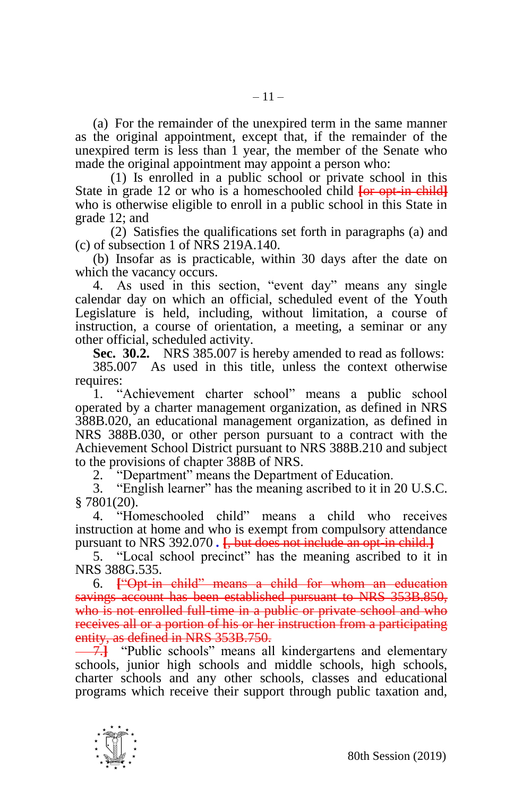(a) For the remainder of the unexpired term in the same manner as the original appointment, except that, if the remainder of the unexpired term is less than 1 year, the member of the Senate who made the original appointment may appoint a person who:

(1) Is enrolled in a public school or private school in this State in grade 12 or who is a homeschooled child **[**or opt-in child**]** who is otherwise eligible to enroll in a public school in this State in grade 12; and

(2) Satisfies the qualifications set forth in paragraphs (a) and (c) of subsection 1 of NRS 219A.140.

(b) Insofar as is practicable, within 30 days after the date on which the vacancy occurs.

4. As used in this section, "event day" means any single calendar day on which an official, scheduled event of the Youth Legislature is held, including, without limitation, a course of instruction, a course of orientation, a meeting, a seminar or any other official, scheduled activity.

**Sec. 30.2.** NRS 385.007 is hereby amended to read as follows:

385.007 As used in this title, unless the context otherwise requires:

1. "Achievement charter school" means a public school operated by a charter management organization, as defined in NRS 388B.020, an educational management organization, as defined in NRS 388B.030, or other person pursuant to a contract with the Achievement School District pursuant to NRS 388B.210 and subject to the provisions of chapter 388B of NRS.

2. "Department" means the Department of Education.

3. "English learner" has the meaning ascribed to it in 20 U.S.C. § 7801(20).

4. "Homeschooled child" means a child who receives instruction at home and who is exempt from compulsory attendance pursuant to NRS 392.070 *.* **[**, but does not include an opt-in child.**]**

5. "Local school precinct" has the meaning ascribed to it in NRS 388G.535.

6. **[**"Opt-in child" means a child for whom an education savings account has been established pursuant to NRS 353B.850, who is not enrolled full-time in a public or private school and who receives all or a portion of his or her instruction from a participating entity, as defined in NRS 353B.750.

**-7.** "Public schools" means all kindergartens and elementary schools, junior high schools and middle schools, high schools, charter schools and any other schools, classes and educational programs which receive their support through public taxation and,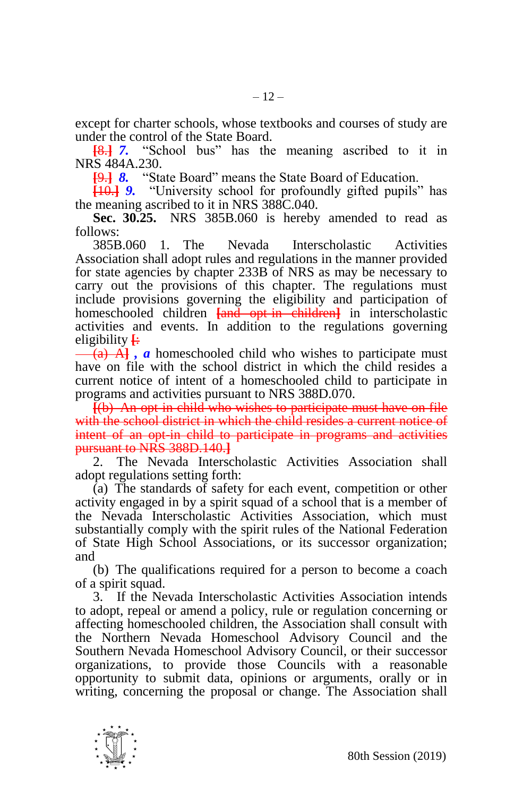except for charter schools, whose textbooks and courses of study are under the control of the State Board.

**[**8.**]** *7.* "School bus" has the meaning ascribed to it in NRS 484A.230.

**[**9.**]** *8.* "State Board" means the State Board of Education.

**[**10.**]** *9.* "University school for profoundly gifted pupils" has the meaning ascribed to it in NRS 388C.040.

**Sec. 30.25.** NRS 385B.060 is hereby amended to read as follows:

385B.060 1. The Nevada Interscholastic Activities Association shall adopt rules and regulations in the manner provided for state agencies by chapter 233B of NRS as may be necessary to carry out the provisions of this chapter. The regulations must include provisions governing the eligibility and participation of homeschooled children **[**and opt-in children**]** in interscholastic activities and events. In addition to the regulations governing eligibility **[**:

(a) A**]** *, a* homeschooled child who wishes to participate must have on file with the school district in which the child resides a current notice of intent of a homeschooled child to participate in programs and activities pursuant to NRS 388D.070.

**[**(b) An opt-in child who wishes to participate must have on file with the school district in which the child resides a current notice of intent of an opt-in child to participate in programs and activities pursuant to NRS 388D.140.**]**

2. The Nevada Interscholastic Activities Association shall adopt regulations setting forth:

(a) The standards of safety for each event, competition or other activity engaged in by a spirit squad of a school that is a member of the Nevada Interscholastic Activities Association, which must substantially comply with the spirit rules of the National Federation of State High School Associations, or its successor organization; and

(b) The qualifications required for a person to become a coach of a spirit squad.

3. If the Nevada Interscholastic Activities Association intends to adopt, repeal or amend a policy, rule or regulation concerning or affecting homeschooled children, the Association shall consult with the Northern Nevada Homeschool Advisory Council and the Southern Nevada Homeschool Advisory Council, or their successor organizations, to provide those Councils with a reasonable opportunity to submit data, opinions or arguments, orally or in writing, concerning the proposal or change. The Association shall

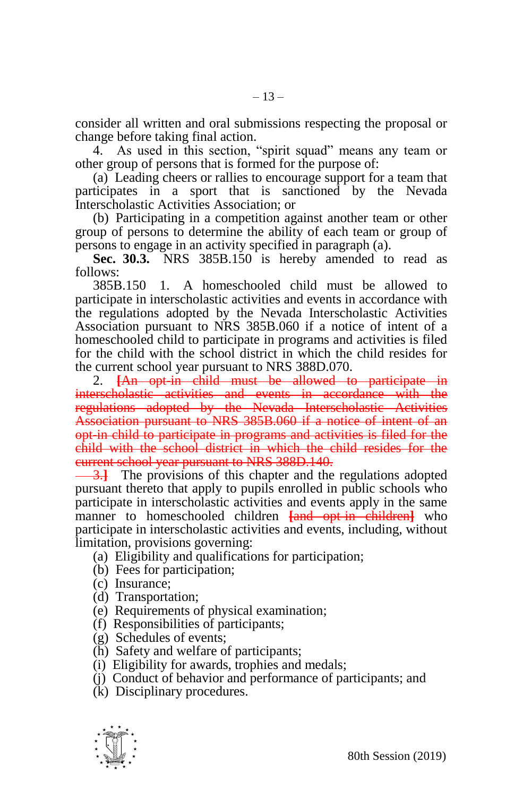consider all written and oral submissions respecting the proposal or change before taking final action.

4. As used in this section, "spirit squad" means any team or other group of persons that is formed for the purpose of:

(a) Leading cheers or rallies to encourage support for a team that participates in a sport that is sanctioned by the Nevada Interscholastic Activities Association; or

(b) Participating in a competition against another team or other group of persons to determine the ability of each team or group of persons to engage in an activity specified in paragraph (a).

**Sec. 30.3.** NRS 385B.150 is hereby amended to read as follows:

385B.150 1. A homeschooled child must be allowed to participate in interscholastic activities and events in accordance with the regulations adopted by the Nevada Interscholastic Activities Association pursuant to NRS 385B.060 if a notice of intent of a homeschooled child to participate in programs and activities is filed for the child with the school district in which the child resides for the current school year pursuant to NRS 388D.070.

2. **[**An opt-in child must be allowed to participate in interscholastic activities and events in accordance with the regulations adopted by the Nevada Interscholastic Activities Association pursuant to NRS 385B.060 if a notice of intent of an opt-in child to participate in programs and activities is filed for the child with the school district in which the child resides for the current school year pursuant to NRS 388D.140.

3.**]** The provisions of this chapter and the regulations adopted pursuant thereto that apply to pupils enrolled in public schools who participate in interscholastic activities and events apply in the same manner to homeschooled children **[**and opt-in children**]** who participate in interscholastic activities and events, including, without limitation, provisions governing:

- (a) Eligibility and qualifications for participation;
- (b) Fees for participation;
- (c) Insurance;
- (d) Transportation;
- (e) Requirements of physical examination;
- (f) Responsibilities of participants;
- (g) Schedules of events;
- (h) Safety and welfare of participants;
- (i) Eligibility for awards, trophies and medals;
- (j) Conduct of behavior and performance of participants; and
- (k) Disciplinary procedures.

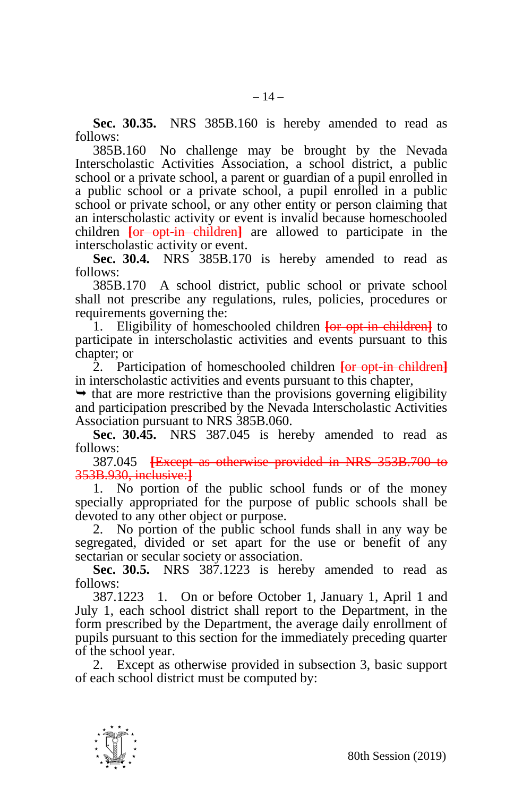**Sec. 30.35.** NRS 385B.160 is hereby amended to read as follows:

385B.160 No challenge may be brought by the Nevada Interscholastic Activities Association, a school district, a public school or a private school, a parent or guardian of a pupil enrolled in a public school or a private school, a pupil enrolled in a public school or private school, or any other entity or person claiming that an interscholastic activity or event is invalid because homeschooled children **[**or opt-in children**]** are allowed to participate in the interscholastic activity or event.

**Sec. 30.4.** NRS 385B.170 is hereby amended to read as follows:

385B.170 A school district, public school or private school shall not prescribe any regulations, rules, policies, procedures or requirements governing the:

1. Eligibility of homeschooled children **[**or opt-in children**]** to participate in interscholastic activities and events pursuant to this chapter; or

2. Participation of homeschooled children **[**or opt-in children**]** in interscholastic activities and events pursuant to this chapter,

 $\rightarrow$  that are more restrictive than the provisions governing eligibility and participation prescribed by the Nevada Interscholastic Activities Association pursuant to NRS 385B.060.

**Sec. 30.45.** NRS 387.045 is hereby amended to read as follows:

387.045 **[**Except as otherwise provided in NRS 353B.700 to 353B.930, inclusive:**]**

1. No portion of the public school funds or of the money specially appropriated for the purpose of public schools shall be devoted to any other object or purpose.

2. No portion of the public school funds shall in any way be segregated, divided or set apart for the use or benefit of any sectarian or secular society or association.

**Sec. 30.5.** NRS 387.1223 is hereby amended to read as follows:

387.1223 1. On or before October 1, January 1, April 1 and July 1, each school district shall report to the Department, in the form prescribed by the Department, the average daily enrollment of pupils pursuant to this section for the immediately preceding quarter of the school year.

2. Except as otherwise provided in subsection 3, basic support of each school district must be computed by:

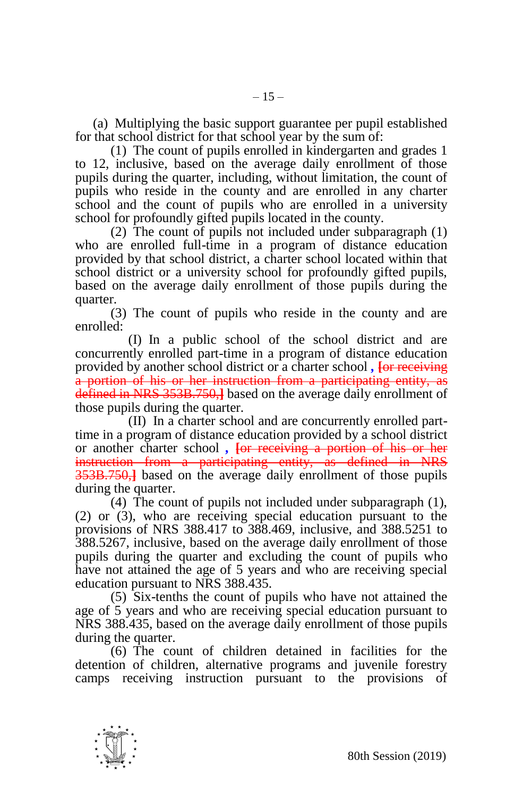(a) Multiplying the basic support guarantee per pupil established for that school district for that school year by the sum of:

(1) The count of pupils enrolled in kindergarten and grades 1 to 12, inclusive, based on the average daily enrollment of those pupils during the quarter, including, without limitation, the count of pupils who reside in the county and are enrolled in any charter school and the count of pupils who are enrolled in a university school for profoundly gifted pupils located in the county.

(2) The count of pupils not included under subparagraph (1) who are enrolled full-time in a program of distance education provided by that school district, a charter school located within that school district or a university school for profoundly gifted pupils, based on the average daily enrollment of those pupils during the quarter.

(3) The count of pupils who reside in the county and are enrolled:

(I) In a public school of the school district and are concurrently enrolled part-time in a program of distance education provided by another school district or a charter school *,* **[**or receiving a portion of his or her instruction from a participating entity, as defined in NRS 353B.750,**]** based on the average daily enrollment of those pupils during the quarter.

(II) In a charter school and are concurrently enrolled parttime in a program of distance education provided by a school district or another charter school *,* **[**or receiving a portion of his or her instruction from a participating entity, as defined in NRS 353B.750,**]** based on the average daily enrollment of those pupils during the quarter.

(4) The count of pupils not included under subparagraph (1), (2) or (3), who are receiving special education pursuant to the provisions of NRS 388.417 to 388.469, inclusive, and 388.5251 to 388.5267, inclusive, based on the average daily enrollment of those pupils during the quarter and excluding the count of pupils who have not attained the age of 5 years and who are receiving special education pursuant to NRS 388.435.

(5) Six-tenths the count of pupils who have not attained the age of 5 years and who are receiving special education pursuant to NRS 388.435, based on the average daily enrollment of those pupils during the quarter.

(6) The count of children detained in facilities for the detention of children, alternative programs and juvenile forestry camps receiving instruction pursuant to the provisions of

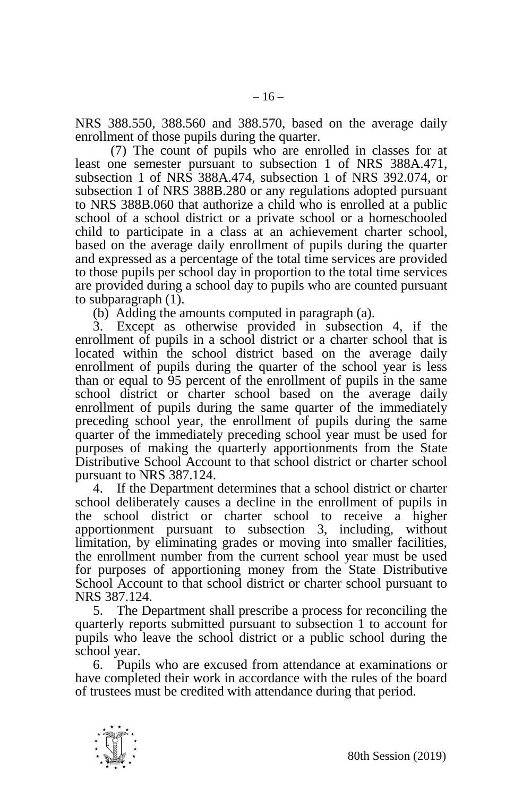NRS 388.550, 388.560 and 388.570, based on the average daily enrollment of those pupils during the quarter.

(7) The count of pupils who are enrolled in classes for at least one semester pursuant to subsection 1 of NRS 388A.471, subsection 1 of NRS 388A.474, subsection 1 of NRS 392.074, or subsection 1 of NRS 388B.280 or any regulations adopted pursuant to NRS 388B.060 that authorize a child who is enrolled at a public school of a school district or a private school or a homeschooled child to participate in a class at an achievement charter school, based on the average daily enrollment of pupils during the quarter and expressed as a percentage of the total time services are provided to those pupils per school day in proportion to the total time services are provided during a school day to pupils who are counted pursuant to subparagraph (1).

(b) Adding the amounts computed in paragraph (a).

3. Except as otherwise provided in subsection 4, if the enrollment of pupils in a school district or a charter school that is located within the school district based on the average daily enrollment of pupils during the quarter of the school year is less than or equal to 95 percent of the enrollment of pupils in the same school district or charter school based on the average daily enrollment of pupils during the same quarter of the immediately preceding school year, the enrollment of pupils during the same quarter of the immediately preceding school year must be used for purposes of making the quarterly apportionments from the State Distributive School Account to that school district or charter school pursuant to NRS 387.124.

4. If the Department determines that a school district or charter school deliberately causes a decline in the enrollment of pupils in the school district or charter school to receive a higher apportionment pursuant to subsection 3, including, without limitation, by eliminating grades or moving into smaller facilities, the enrollment number from the current school year must be used for purposes of apportioning money from the State Distributive School Account to that school district or charter school pursuant to NRS 387.124.

5. The Department shall prescribe a process for reconciling the quarterly reports submitted pursuant to subsection 1 to account for pupils who leave the school district or a public school during the school year.

6. Pupils who are excused from attendance at examinations or have completed their work in accordance with the rules of the board of trustees must be credited with attendance during that period.

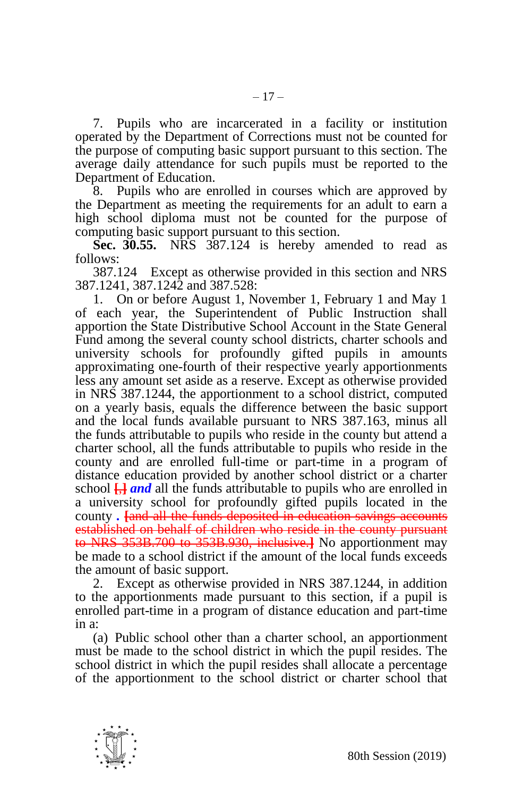7. Pupils who are incarcerated in a facility or institution operated by the Department of Corrections must not be counted for the purpose of computing basic support pursuant to this section. The average daily attendance for such pupils must be reported to the Department of Education.

8. Pupils who are enrolled in courses which are approved by the Department as meeting the requirements for an adult to earn a high school diploma must not be counted for the purpose of computing basic support pursuant to this section.

**Sec. 30.55.** NRS 387.124 is hereby amended to read as follows:

387.124 Except as otherwise provided in this section and NRS 387.1241, 387.1242 and 387.528:

1. On or before August 1, November 1, February 1 and May 1 of each year, the Superintendent of Public Instruction shall apportion the State Distributive School Account in the State General Fund among the several county school districts, charter schools and university schools for profoundly gifted pupils in amounts approximating one-fourth of their respective yearly apportionments less any amount set aside as a reserve. Except as otherwise provided in NRS 387.1244, the apportionment to a school district, computed on a yearly basis, equals the difference between the basic support and the local funds available pursuant to NRS 387.163, minus all the funds attributable to pupils who reside in the county but attend a charter school, all the funds attributable to pupils who reside in the county and are enrolled full-time or part-time in a program of distance education provided by another school district or a charter school **[**,**]** *and* all the funds attributable to pupils who are enrolled in a university school for profoundly gifted pupils located in the county *.* **[**and all the funds deposited in education savings accounts established on behalf of children who reside in the county pursuant to NRS 353B.700 to 353B.930, inclusive.**]** No apportionment may be made to a school district if the amount of the local funds exceeds the amount of basic support.

2. Except as otherwise provided in NRS 387.1244, in addition to the apportionments made pursuant to this section, if a pupil is enrolled part-time in a program of distance education and part-time in a:

(a) Public school other than a charter school, an apportionment must be made to the school district in which the pupil resides. The school district in which the pupil resides shall allocate a percentage of the apportionment to the school district or charter school that

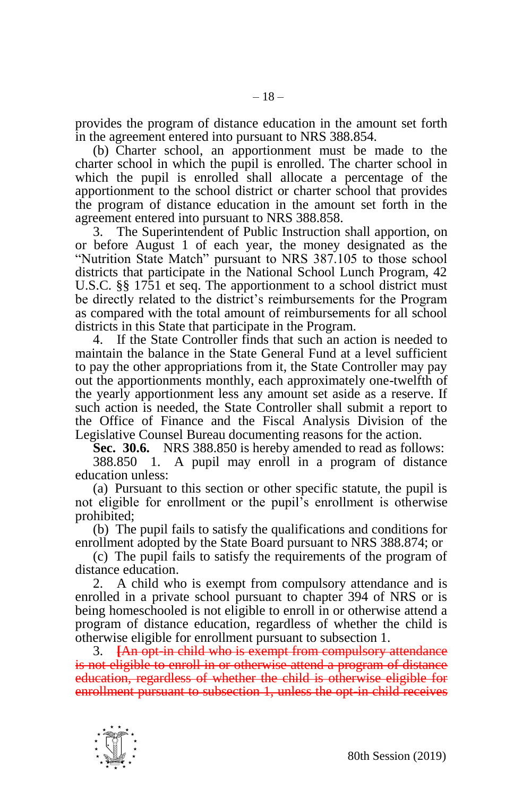provides the program of distance education in the amount set forth in the agreement entered into pursuant to NRS 388.854.

(b) Charter school, an apportionment must be made to the charter school in which the pupil is enrolled. The charter school in which the pupil is enrolled shall allocate a percentage of the apportionment to the school district or charter school that provides the program of distance education in the amount set forth in the agreement entered into pursuant to NRS 388.858.

3. The Superintendent of Public Instruction shall apportion, on or before August 1 of each year, the money designated as the "Nutrition State Match" pursuant to NRS 387.105 to those school districts that participate in the National School Lunch Program, 42 U.S.C. §§ 1751 et seq. The apportionment to a school district must be directly related to the district's reimbursements for the Program as compared with the total amount of reimbursements for all school districts in this State that participate in the Program.

4. If the State Controller finds that such an action is needed to maintain the balance in the State General Fund at a level sufficient to pay the other appropriations from it, the State Controller may pay out the apportionments monthly, each approximately one-twelfth of the yearly apportionment less any amount set aside as a reserve. If such action is needed, the State Controller shall submit a report to the Office of Finance and the Fiscal Analysis Division of the Legislative Counsel Bureau documenting reasons for the action.

**Sec. 30.6.** NRS 388.850 is hereby amended to read as follows:

388.850 1. A pupil may enroll in a program of distance education unless:

(a) Pursuant to this section or other specific statute, the pupil is not eligible for enrollment or the pupil's enrollment is otherwise prohibited;

(b) The pupil fails to satisfy the qualifications and conditions for enrollment adopted by the State Board pursuant to NRS 388.874; or

(c) The pupil fails to satisfy the requirements of the program of distance education.

2. A child who is exempt from compulsory attendance and is enrolled in a private school pursuant to chapter 394 of NRS or is being homeschooled is not eligible to enroll in or otherwise attend a program of distance education, regardless of whether the child is otherwise eligible for enrollment pursuant to subsection 1.

3. **[**An opt-in child who is exempt from compulsory attendance is not eligible to enroll in or otherwise attend a program of distance education, regardless of whether the child is otherwise eligible for enrollment pursuant to subsection 1, unless the opt-in child receives

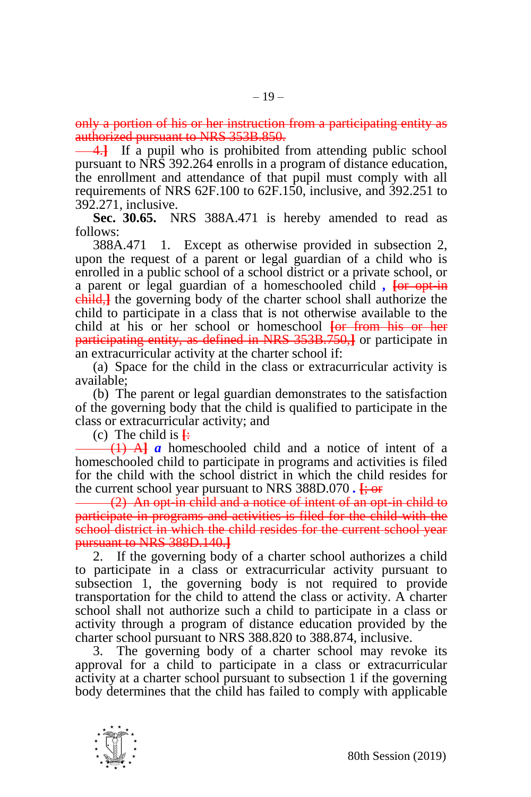only a portion of his or her instruction from a participating entity as authorized pursuant to NRS 353B.850.

4.**]** If a pupil who is prohibited from attending public school pursuant to NRS 392.264 enrolls in a program of distance education, the enrollment and attendance of that pupil must comply with all requirements of NRS 62F.100 to 62F.150, inclusive, and 392.251 to 392.271, inclusive.

**Sec. 30.65.** NRS 388A.471 is hereby amended to read as follows:

388A.471 1. Except as otherwise provided in subsection 2, upon the request of a parent or legal guardian of a child who is enrolled in a public school of a school district or a private school, or a parent or legal guardian of a homeschooled child *,* **[**or opt-in child,**]** the governing body of the charter school shall authorize the child to participate in a class that is not otherwise available to the child at his or her school or homeschool **[**or from his or her participating entity, as defined in NRS 353B.750,**]** or participate in an extracurricular activity at the charter school if:

(a) Space for the child in the class or extracurricular activity is available;

(b) The parent or legal guardian demonstrates to the satisfaction of the governing body that the child is qualified to participate in the class or extracurricular activity; and

(c) The child is  $\frac{1}{2}$ 

(1) A**]** *a* homeschooled child and a notice of intent of a homeschooled child to participate in programs and activities is filed for the child with the school district in which the child resides for the current school year pursuant to NRS 388D.070 *.* **[**; or

(2) An opt-in child and a notice of intent of an opt-in child to participate in programs and activities is filed for the child with the school district in which the child resides for the current school year pursuant to NRS 388D.140.**]**

2. If the governing body of a charter school authorizes a child to participate in a class or extracurricular activity pursuant to subsection 1, the governing body is not required to provide transportation for the child to attend the class or activity. A charter school shall not authorize such a child to participate in a class or activity through a program of distance education provided by the charter school pursuant to NRS 388.820 to 388.874, inclusive.

3. The governing body of a charter school may revoke its approval for a child to participate in a class or extracurricular activity at a charter school pursuant to subsection 1 if the governing body determines that the child has failed to comply with applicable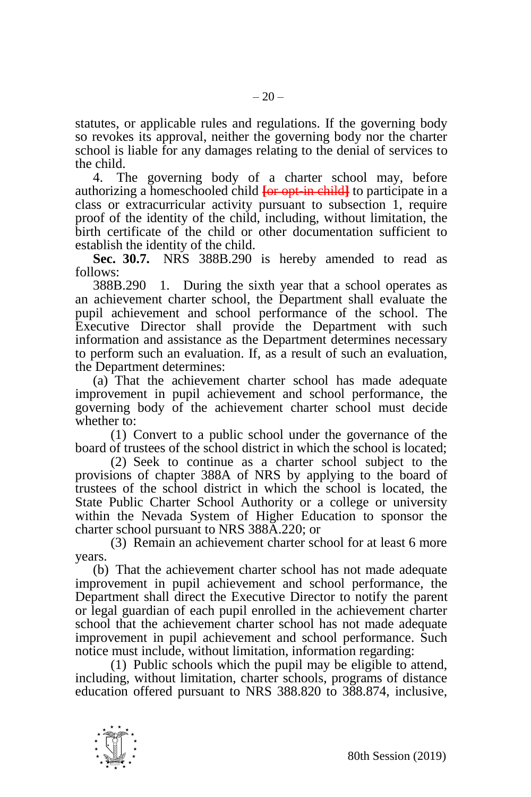statutes, or applicable rules and regulations. If the governing body so revokes its approval, neither the governing body nor the charter school is liable for any damages relating to the denial of services to the child.

4. The governing body of a charter school may, before authorizing a homeschooled child **[**or opt-in child**]** to participate in a class or extracurricular activity pursuant to subsection 1, require proof of the identity of the child, including, without limitation, the birth certificate of the child or other documentation sufficient to establish the identity of the child.

**Sec. 30.7.** NRS 388B.290 is hereby amended to read as follows:

388B.290 1. During the sixth year that a school operates as an achievement charter school, the Department shall evaluate the pupil achievement and school performance of the school. The Executive Director shall provide the Department with such information and assistance as the Department determines necessary to perform such an evaluation. If, as a result of such an evaluation, the Department determines:

(a) That the achievement charter school has made adequate improvement in pupil achievement and school performance, the governing body of the achievement charter school must decide whether to:

(1) Convert to a public school under the governance of the board of trustees of the school district in which the school is located;

(2) Seek to continue as a charter school subject to the provisions of chapter 388A of NRS by applying to the board of trustees of the school district in which the school is located, the State Public Charter School Authority or a college or university within the Nevada System of Higher Education to sponsor the charter school pursuant to NRS 388A.220; or

(3) Remain an achievement charter school for at least 6 more years.

(b) That the achievement charter school has not made adequate improvement in pupil achievement and school performance, the Department shall direct the Executive Director to notify the parent or legal guardian of each pupil enrolled in the achievement charter school that the achievement charter school has not made adequate improvement in pupil achievement and school performance. Such notice must include, without limitation, information regarding:

(1) Public schools which the pupil may be eligible to attend, including, without limitation, charter schools, programs of distance education offered pursuant to NRS 388.820 to 388.874, inclusive,

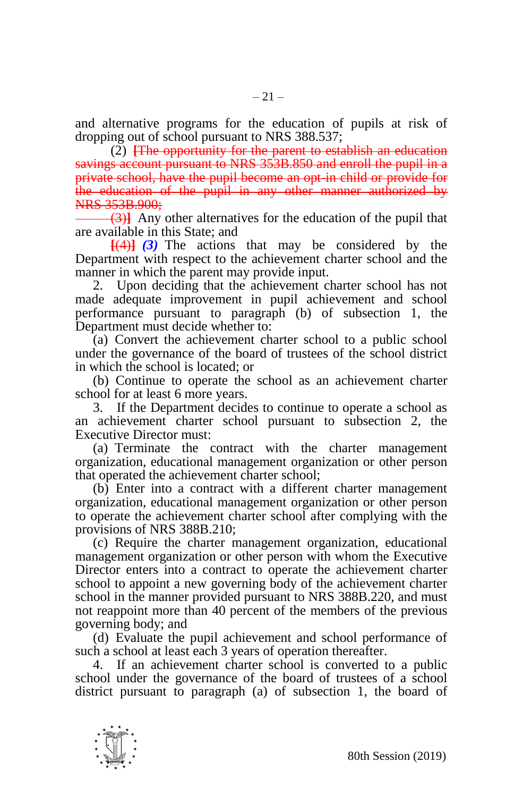and alternative programs for the education of pupils at risk of dropping out of school pursuant to NRS 388.537;

(2) **[**The opportunity for the parent to establish an education savings account pursuant to NRS 353B.850 and enroll the pupil in a private school, have the pupil become an opt-in child or provide for the education of the pupil in any other manner authorized by NRS 353B.900;

(3)**]** Any other alternatives for the education of the pupil that are available in this State; and

**[**(4)**]** *(3)* The actions that may be considered by the Department with respect to the achievement charter school and the manner in which the parent may provide input.

2. Upon deciding that the achievement charter school has not made adequate improvement in pupil achievement and school performance pursuant to paragraph (b) of subsection 1, the Department must decide whether to:

(a) Convert the achievement charter school to a public school under the governance of the board of trustees of the school district in which the school is located; or

(b) Continue to operate the school as an achievement charter school for at least 6 more years.

3. If the Department decides to continue to operate a school as an achievement charter school pursuant to subsection 2, the Executive Director must:

(a) Terminate the contract with the charter management organization, educational management organization or other person that operated the achievement charter school;

(b) Enter into a contract with a different charter management organization, educational management organization or other person to operate the achievement charter school after complying with the provisions of NRS 388B.210;

(c) Require the charter management organization, educational management organization or other person with whom the Executive Director enters into a contract to operate the achievement charter school to appoint a new governing body of the achievement charter school in the manner provided pursuant to NRS 388B.220, and must not reappoint more than 40 percent of the members of the previous governing body; and

(d) Evaluate the pupil achievement and school performance of such a school at least each 3 years of operation thereafter.

4. If an achievement charter school is converted to a public school under the governance of the board of trustees of a school district pursuant to paragraph (a) of subsection 1, the board of

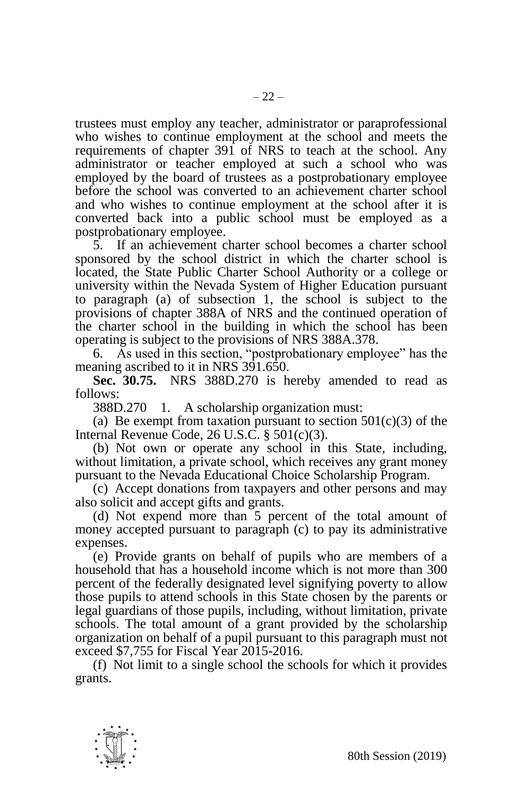trustees must employ any teacher, administrator or paraprofessional who wishes to continue employment at the school and meets the requirements of chapter 391 of NRS to teach at the school. Any administrator or teacher employed at such a school who was employed by the board of trustees as a postprobationary employee before the school was converted to an achievement charter school and who wishes to continue employment at the school after it is converted back into a public school must be employed as a postprobationary employee.

5. If an achievement charter school becomes a charter school sponsored by the school district in which the charter school is located, the State Public Charter School Authority or a college or university within the Nevada System of Higher Education pursuant to paragraph (a) of subsection 1, the school is subject to the provisions of chapter 388A of NRS and the continued operation of the charter school in the building in which the school has been operating is subject to the provisions of NRS 388A.378.

6. As used in this section, "postprobationary employee" has the meaning ascribed to it in NRS 391.650.

**Sec. 30.75.** NRS 388D.270 is hereby amended to read as follows:

388D.270 1. A scholarship organization must:

(a) Be exempt from taxation pursuant to section  $501(c)(3)$  of the Internal Revenue Code, 26 U.S.C. § 501(c)(3).

(b) Not own or operate any school in this State, including, without limitation, a private school, which receives any grant money pursuant to the Nevada Educational Choice Scholarship Program.

(c) Accept donations from taxpayers and other persons and may also solicit and accept gifts and grants.

(d) Not expend more than 5 percent of the total amount of money accepted pursuant to paragraph (c) to pay its administrative expenses.

(e) Provide grants on behalf of pupils who are members of a household that has a household income which is not more than 300 percent of the federally designated level signifying poverty to allow those pupils to attend schools in this State chosen by the parents or legal guardians of those pupils, including, without limitation, private schools. The total amount of a grant provided by the scholarship organization on behalf of a pupil pursuant to this paragraph must not exceed \$7,755 for Fiscal Year 2015-2016.

(f) Not limit to a single school the schools for which it provides grants.

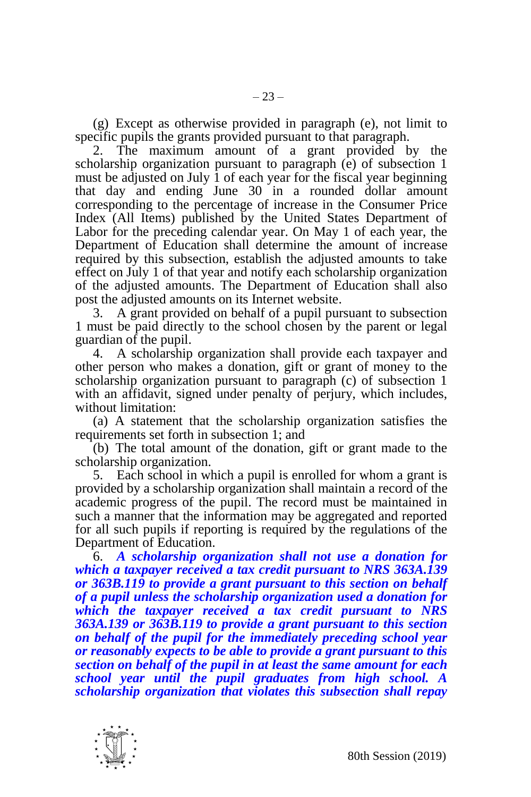(g) Except as otherwise provided in paragraph (e), not limit to specific pupils the grants provided pursuant to that paragraph.

2. The maximum amount of a grant provided by the scholarship organization pursuant to paragraph (e) of subsection 1 must be adjusted on July 1 of each year for the fiscal year beginning that day and ending June 30 in a rounded dollar amount corresponding to the percentage of increase in the Consumer Price Index (All Items) published by the United States Department of Labor for the preceding calendar year. On May 1 of each year, the Department of Education shall determine the amount of increase required by this subsection, establish the adjusted amounts to take effect on July 1 of that year and notify each scholarship organization of the adjusted amounts. The Department of Education shall also post the adjusted amounts on its Internet website.

3. A grant provided on behalf of a pupil pursuant to subsection 1 must be paid directly to the school chosen by the parent or legal guardian of the pupil.

4. A scholarship organization shall provide each taxpayer and other person who makes a donation, gift or grant of money to the scholarship organization pursuant to paragraph (c) of subsection 1 with an affidavit, signed under penalty of perjury, which includes, without limitation:

(a) A statement that the scholarship organization satisfies the requirements set forth in subsection 1; and

(b) The total amount of the donation, gift or grant made to the scholarship organization.

5. Each school in which a pupil is enrolled for whom a grant is provided by a scholarship organization shall maintain a record of the academic progress of the pupil. The record must be maintained in such a manner that the information may be aggregated and reported for all such pupils if reporting is required by the regulations of the Department of Education.

6. *A scholarship organization shall not use a donation for which a taxpayer received a tax credit pursuant to NRS 363A.139 or 363B.119 to provide a grant pursuant to this section on behalf of a pupil unless the scholarship organization used a donation for which the taxpayer received a tax credit pursuant to NRS 363A.139 or 363B.119 to provide a grant pursuant to this section on behalf of the pupil for the immediately preceding school year or reasonably expects to be able to provide a grant pursuant to this section on behalf of the pupil in at least the same amount for each school year until the pupil graduates from high school. A scholarship organization that violates this subsection shall repay* 

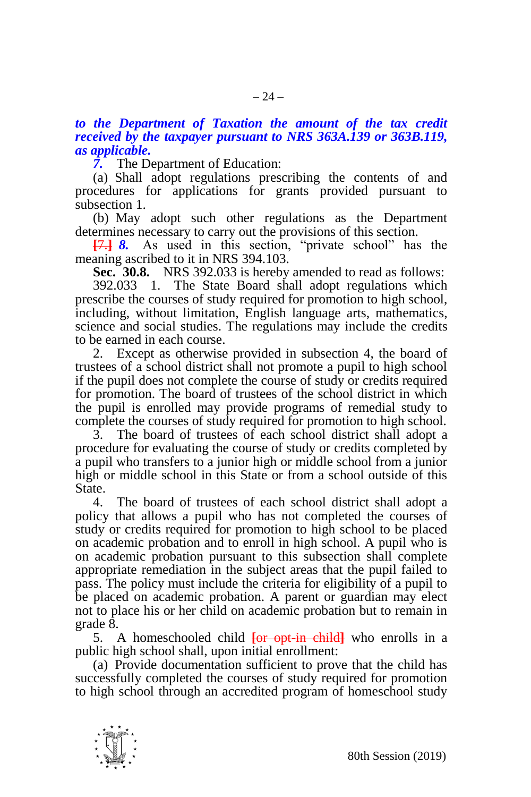# *to the Department of Taxation the amount of the tax credit received by the taxpayer pursuant to NRS 363A.139 or 363B.119, as applicable.*

*7.* The Department of Education:

(a) Shall adopt regulations prescribing the contents of and procedures for applications for grants provided pursuant to subsection 1.

(b) May adopt such other regulations as the Department determines necessary to carry out the provisions of this section.

**[**7.**]** *8.* As used in this section, "private school" has the meaning ascribed to it in NRS 394.103.

**Sec. 30.8.** NRS 392.033 is hereby amended to read as follows:

392.033 1. The State Board shall adopt regulations which prescribe the courses of study required for promotion to high school, including, without limitation, English language arts, mathematics, science and social studies. The regulations may include the credits to be earned in each course.

2. Except as otherwise provided in subsection 4, the board of trustees of a school district shall not promote a pupil to high school if the pupil does not complete the course of study or credits required for promotion. The board of trustees of the school district in which the pupil is enrolled may provide programs of remedial study to complete the courses of study required for promotion to high school.

3. The board of trustees of each school district shall adopt a procedure for evaluating the course of study or credits completed by a pupil who transfers to a junior high or middle school from a junior high or middle school in this State or from a school outside of this **State** 

4. The board of trustees of each school district shall adopt a policy that allows a pupil who has not completed the courses of study or credits required for promotion to high school to be placed on academic probation and to enroll in high school. A pupil who is on academic probation pursuant to this subsection shall complete appropriate remediation in the subject areas that the pupil failed to pass. The policy must include the criteria for eligibility of a pupil to be placed on academic probation. A parent or guardian may elect not to place his or her child on academic probation but to remain in grade 8.

5. A homeschooled child **[**or opt-in child**]** who enrolls in a public high school shall, upon initial enrollment:

(a) Provide documentation sufficient to prove that the child has successfully completed the courses of study required for promotion to high school through an accredited program of homeschool study

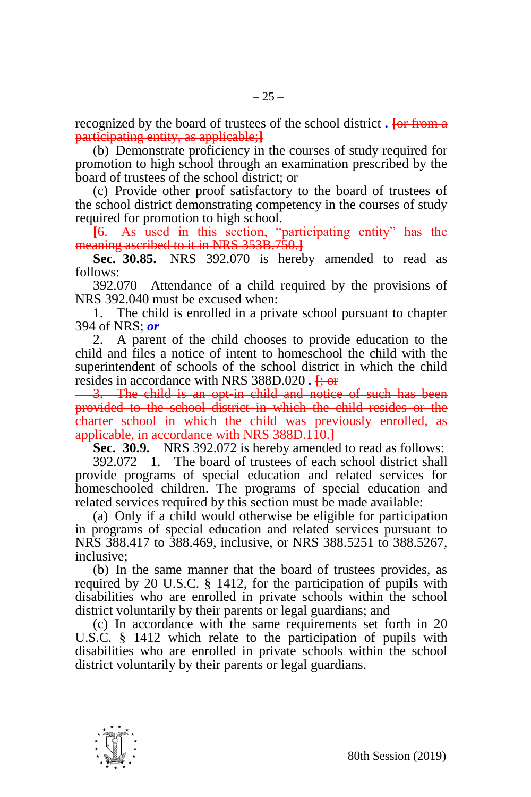recognized by the board of trustees of the school district *.* **[**or from a participating entity, as applicable;**]**

(b) Demonstrate proficiency in the courses of study required for promotion to high school through an examination prescribed by the board of trustees of the school district; or

(c) Provide other proof satisfactory to the board of trustees of the school district demonstrating competency in the courses of study required for promotion to high school.

**[**6. As used in this section, "participating entity" has the meaning ascribed to it in NRS 353B.750.**]**

**Sec. 30.85.** NRS 392.070 is hereby amended to read as follows:

392.070 Attendance of a child required by the provisions of NRS 392.040 must be excused when:

1. The child is enrolled in a private school pursuant to chapter 394 of NRS; *or*

2. A parent of the child chooses to provide education to the child and files a notice of intent to homeschool the child with the superintendent of schools of the school district in which the child resides in accordance with NRS 388D.020.  $\frac{1}{2}$  or

3. The child is an opt-in child and notice of such has been provided to the school district in which the child resides or the charter school in which the child was previously enrolled, as applicable, in accordance with NRS 388D.110.**]**

**Sec. 30.9.** NRS 392.072 is hereby amended to read as follows:

392.072 1. The board of trustees of each school district shall provide programs of special education and related services for homeschooled children. The programs of special education and related services required by this section must be made available:

(a) Only if a child would otherwise be eligible for participation in programs of special education and related services pursuant to NRS 388.417 to 388.469, inclusive, or NRS 388.5251 to 388.5267, inclusive;

(b) In the same manner that the board of trustees provides, as required by 20 U.S.C. § 1412, for the participation of pupils with disabilities who are enrolled in private schools within the school district voluntarily by their parents or legal guardians; and

(c) In accordance with the same requirements set forth in 20 U.S.C. § 1412 which relate to the participation of pupils with disabilities who are enrolled in private schools within the school district voluntarily by their parents or legal guardians.

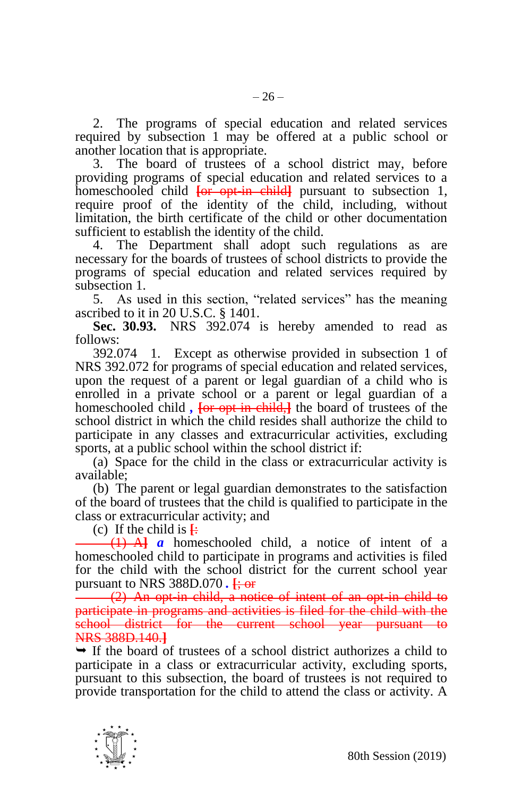3. The board of trustees of a school district may, before providing programs of special education and related services to a homeschooled child  $\overline{\text{for opt-in child}}$  pursuant to subsection 1, require proof of the identity of the child, including, without limitation, the birth certificate of the child or other documentation sufficient to establish the identity of the child.

4. The Department shall adopt such regulations as are necessary for the boards of trustees of school districts to provide the programs of special education and related services required by subsection 1.

5. As used in this section, "related services" has the meaning ascribed to it in 20 U.S.C. § 1401.

**Sec. 30.93.** NRS 392.074 is hereby amended to read as follows:

392.074 1. Except as otherwise provided in subsection 1 of NRS 392.072 for programs of special education and related services, upon the request of a parent or legal guardian of a child who is enrolled in a private school or a parent or legal guardian of a homeschooled child, **For opt-in-child**, the board of trustees of the school district in which the child resides shall authorize the child to participate in any classes and extracurricular activities, excluding sports, at a public school within the school district if:

(a) Space for the child in the class or extracurricular activity is available;

(b) The parent or legal guardian demonstrates to the satisfaction of the board of trustees that the child is qualified to participate in the class or extracurricular activity; and

(c) If the child is  $\frac{1}{2}$ 

(1) A**]** *a* homeschooled child, a notice of intent of a homeschooled child to participate in programs and activities is filed for the child with the school district for the current school year pursuant to NRS 388D.070 *.* **[**; or

(2) An opt-in child, a notice of intent of an opt-in child to participate in programs and activities is filed for the child with the school district for the current school year pursuant to NRS 388D.140.**]**

 $\rightarrow$  If the board of trustees of a school district authorizes a child to participate in a class or extracurricular activity, excluding sports, pursuant to this subsection, the board of trustees is not required to provide transportation for the child to attend the class or activity. A

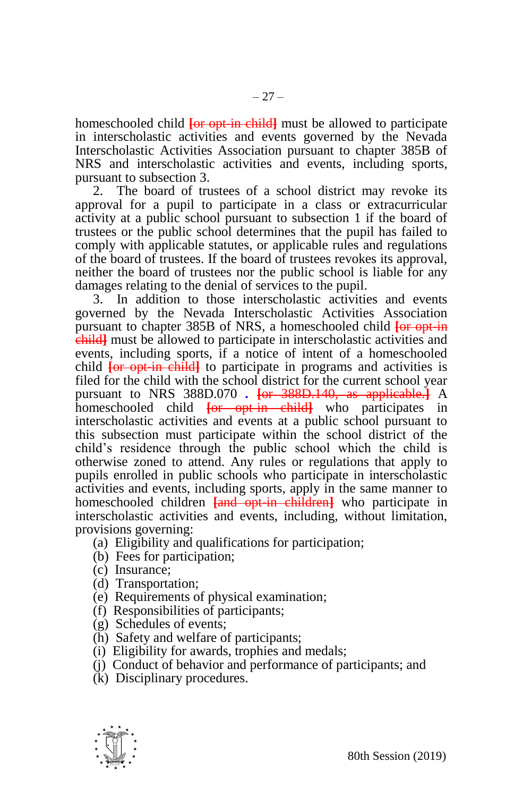homeschooled child **[**or opt-in child**]** must be allowed to participate in interscholastic activities and events governed by the Nevada Interscholastic Activities Association pursuant to chapter 385B of NRS and interscholastic activities and events, including sports, pursuant to subsection 3.

2. The board of trustees of a school district may revoke its approval for a pupil to participate in a class or extracurricular activity at a public school pursuant to subsection 1 if the board of trustees or the public school determines that the pupil has failed to comply with applicable statutes, or applicable rules and regulations of the board of trustees. If the board of trustees revokes its approval, neither the board of trustees nor the public school is liable for any damages relating to the denial of services to the pupil.

3. In addition to those interscholastic activities and events governed by the Nevada Interscholastic Activities Association pursuant to chapter 385B of NRS, a homeschooled child **[**or opt-in child**]** must be allowed to participate in interscholastic activities and events, including sports, if a notice of intent of a homeschooled child **[**or opt-in child**]** to participate in programs and activities is filed for the child with the school district for the current school year pursuant to NRS 388D.070 *.* **[**or 388D.140, as applicable.**]** A homeschooled child **[**or opt-in child**]** who participates in interscholastic activities and events at a public school pursuant to this subsection must participate within the school district of the child's residence through the public school which the child is otherwise zoned to attend. Any rules or regulations that apply to pupils enrolled in public schools who participate in interscholastic activities and events, including sports, apply in the same manner to homeschooled children **[**and opt-in children**]** who participate in interscholastic activities and events, including, without limitation, provisions governing:

- (a) Eligibility and qualifications for participation;
- (b) Fees for participation;
- (c) Insurance;
- (d) Transportation;
- (e) Requirements of physical examination;
- (f) Responsibilities of participants;
- (g) Schedules of events;
- (h) Safety and welfare of participants;
- (i) Eligibility for awards, trophies and medals;
- (j) Conduct of behavior and performance of participants; and
- (k) Disciplinary procedures.

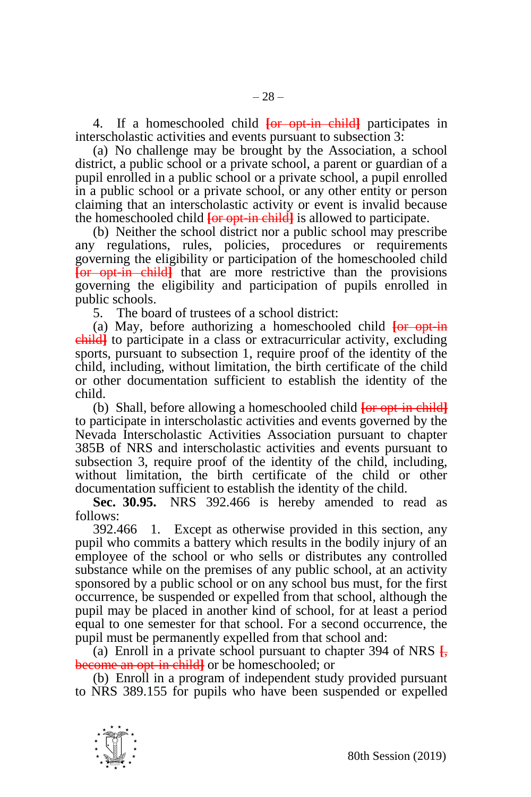4. If a homeschooled child **[**or opt-in child**]** participates in interscholastic activities and events pursuant to subsection 3:

(a) No challenge may be brought by the Association, a school district, a public school or a private school, a parent or guardian of a pupil enrolled in a public school or a private school, a pupil enrolled in a public school or a private school, or any other entity or person claiming that an interscholastic activity or event is invalid because the homeschooled child **[**or opt-in child**]** is allowed to participate.

(b) Neither the school district nor a public school may prescribe any regulations, rules, policies, procedures or requirements governing the eligibility or participation of the homeschooled child **[**or opt-in child**]** that are more restrictive than the provisions governing the eligibility and participation of pupils enrolled in public schools.

5. The board of trustees of a school district:

(a) May, before authorizing a homeschooled child **[**or opt-in child**]** to participate in a class or extracurricular activity, excluding sports, pursuant to subsection 1, require proof of the identity of the child, including, without limitation, the birth certificate of the child or other documentation sufficient to establish the identity of the child.

(b) Shall, before allowing a homeschooled child **[**or opt-in child**]** to participate in interscholastic activities and events governed by the Nevada Interscholastic Activities Association pursuant to chapter 385B of NRS and interscholastic activities and events pursuant to subsection 3, require proof of the identity of the child, including, without limitation, the birth certificate of the child or other documentation sufficient to establish the identity of the child.

**Sec. 30.95.** NRS 392.466 is hereby amended to read as follows:

392.466 1. Except as otherwise provided in this section, any pupil who commits a battery which results in the bodily injury of an employee of the school or who sells or distributes any controlled substance while on the premises of any public school, at an activity sponsored by a public school or on any school bus must, for the first occurrence, be suspended or expelled from that school, although the pupil may be placed in another kind of school, for at least a period equal to one semester for that school. For a second occurrence, the pupil must be permanently expelled from that school and:

(a) Enroll in a private school pursuant to chapter 394 of NRS  $\frac{1}{2}$ , become an opt-in child**]** or be homeschooled; or

(b) Enroll in a program of independent study provided pursuant to NRS 389.155 for pupils who have been suspended or expelled

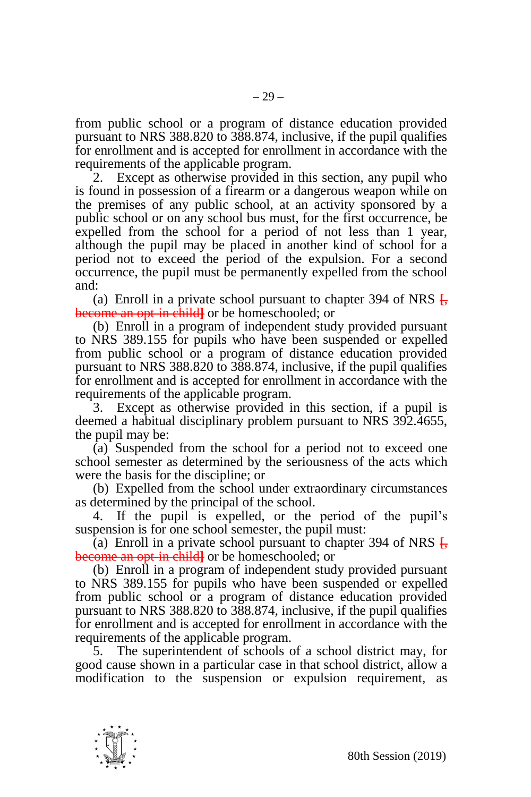from public school or a program of distance education provided pursuant to NRS 388.820 to 388.874, inclusive, if the pupil qualifies for enrollment and is accepted for enrollment in accordance with the requirements of the applicable program.

2. Except as otherwise provided in this section, any pupil who is found in possession of a firearm or a dangerous weapon while on the premises of any public school, at an activity sponsored by a public school or on any school bus must, for the first occurrence, be expelled from the school for a period of not less than 1 year, although the pupil may be placed in another kind of school for a period not to exceed the period of the expulsion. For a second occurrence, the pupil must be permanently expelled from the school and:

(a) Enroll in a private school pursuant to chapter 394 of NRS **[**, become an opt-in child**]** or be homeschooled; or

(b) Enroll in a program of independent study provided pursuant to NRS 389.155 for pupils who have been suspended or expelled from public school or a program of distance education provided pursuant to NRS 388.820 to 388.874, inclusive, if the pupil qualifies for enrollment and is accepted for enrollment in accordance with the requirements of the applicable program.

3. Except as otherwise provided in this section, if a pupil is deemed a habitual disciplinary problem pursuant to NRS 392.4655, the pupil may be:

(a) Suspended from the school for a period not to exceed one school semester as determined by the seriousness of the acts which were the basis for the discipline; or

(b) Expelled from the school under extraordinary circumstances as determined by the principal of the school.

4. If the pupil is expelled, or the period of the pupil's suspension is for one school semester, the pupil must:

(a) Enroll in a private school pursuant to chapter 394 of NRS **[**, become an opt-in child**]** or be homeschooled; or

(b) Enroll in a program of independent study provided pursuant to NRS 389.155 for pupils who have been suspended or expelled from public school or a program of distance education provided pursuant to NRS 388.820 to 388.874, inclusive, if the pupil qualifies for enrollment and is accepted for enrollment in accordance with the requirements of the applicable program.

5. The superintendent of schools of a school district may, for good cause shown in a particular case in that school district, allow a modification to the suspension or expulsion requirement, as

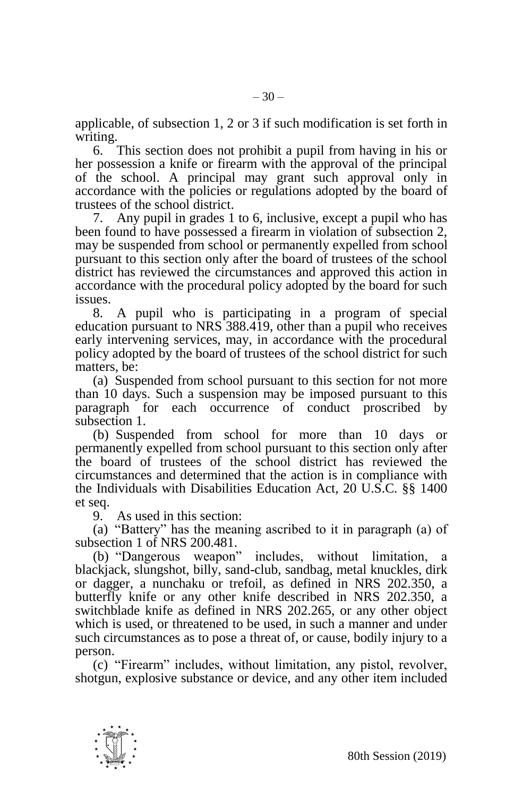applicable, of subsection 1, 2 or 3 if such modification is set forth in writing.

6. This section does not prohibit a pupil from having in his or her possession a knife or firearm with the approval of the principal of the school. A principal may grant such approval only in accordance with the policies or regulations adopted by the board of trustees of the school district.

7. Any pupil in grades 1 to 6, inclusive, except a pupil who has been found to have possessed a firearm in violation of subsection 2, may be suspended from school or permanently expelled from school pursuant to this section only after the board of trustees of the school district has reviewed the circumstances and approved this action in accordance with the procedural policy adopted by the board for such issues.

8. A pupil who is participating in a program of special education pursuant to NRS 388.419, other than a pupil who receives early intervening services, may, in accordance with the procedural policy adopted by the board of trustees of the school district for such matters, be-

(a) Suspended from school pursuant to this section for not more than 10 days. Such a suspension may be imposed pursuant to this paragraph for each occurrence of conduct proscribed by subsection 1.

(b) Suspended from school for more than 10 days or permanently expelled from school pursuant to this section only after the board of trustees of the school district has reviewed the circumstances and determined that the action is in compliance with the Individuals with Disabilities Education Act, 20 U.S.C. §§ 1400 et seq.

9. As used in this section:

(a) "Battery" has the meaning ascribed to it in paragraph (a) of subsection 1 of NRS 200.481.

(b) "Dangerous weapon" includes, without limitation, a blackjack, slungshot, billy, sand-club, sandbag, metal knuckles, dirk or dagger, a nunchaku or trefoil, as defined in NRS 202.350, a butterfly knife or any other knife described in NRS 202.350, a switchblade knife as defined in NRS 202.265, or any other object which is used, or threatened to be used, in such a manner and under such circumstances as to pose a threat of, or cause, bodily injury to a person.

(c) "Firearm" includes, without limitation, any pistol, revolver, shotgun, explosive substance or device, and any other item included

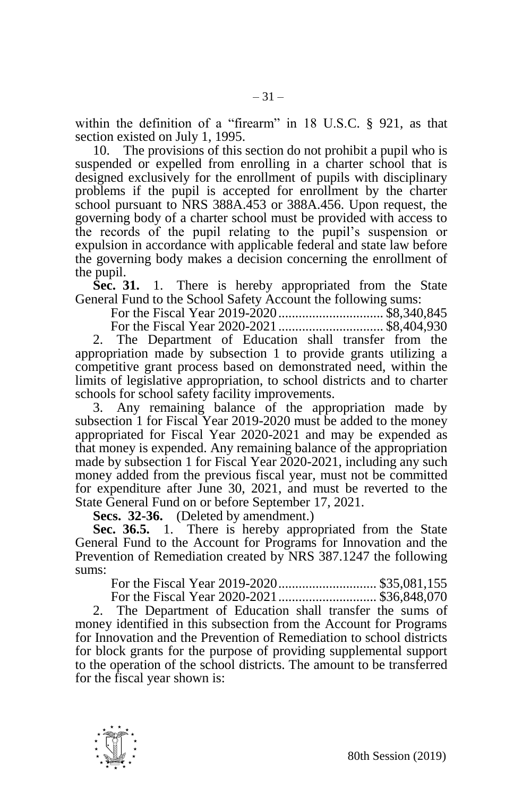within the definition of a "firearm" in 18 U.S.C. § 921, as that section existed on July 1, 1995.

10. The provisions of this section do not prohibit a pupil who is suspended or expelled from enrolling in a charter school that is designed exclusively for the enrollment of pupils with disciplinary problems if the pupil is accepted for enrollment by the charter school pursuant to NRS 388A.453 or 388A.456. Upon request, the governing body of a charter school must be provided with access to the records of the pupil relating to the pupil's suspension or expulsion in accordance with applicable federal and state law before the governing body makes a decision concerning the enrollment of the pupil.

**Sec. 31.** 1. There is hereby appropriated from the State General Fund to the School Safety Account the following sums:

For the Fiscal Year 2019-2020............................... \$8,340,845

For the Fiscal Year 2020-2021............................... \$8,404,930

2. The Department of Education shall transfer from the appropriation made by subsection 1 to provide grants utilizing a competitive grant process based on demonstrated need, within the limits of legislative appropriation, to school districts and to charter schools for school safety facility improvements.

3. Any remaining balance of the appropriation made by subsection 1 for Fiscal Year 2019-2020 must be added to the money appropriated for Fiscal Year 2020-2021 and may be expended as that money is expended. Any remaining balance of the appropriation made by subsection 1 for Fiscal Year 2020-2021, including any such money added from the previous fiscal year, must not be committed for expenditure after June 30, 2021, and must be reverted to the State General Fund on or before September 17, 2021.

**Secs. 32-36.** (Deleted by amendment.)

**Sec. 36.5.** 1. There is hereby appropriated from the State General Fund to the Account for Programs for Innovation and the Prevention of Remediation created by NRS 387.1247 the following sums:

For the Fiscal Year 2019-2020............................. \$35,081,155

For the Fiscal Year 2020-2021............................. \$36,848,070

2. The Department of Education shall transfer the sums of money identified in this subsection from the Account for Programs for Innovation and the Prevention of Remediation to school districts for block grants for the purpose of providing supplemental support to the operation of the school districts. The amount to be transferred for the fiscal year shown is:

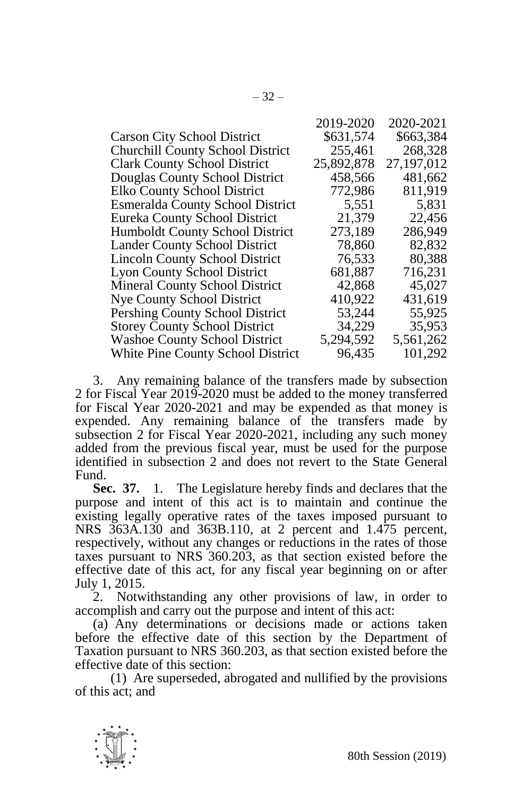|                                         | 2019-2020  | 2020-2021    |
|-----------------------------------------|------------|--------------|
| <b>Carson City School District</b>      | \$631,574  | \$663,384    |
| <b>Churchill County School District</b> | 255,461    | 268,328      |
| <b>Clark County School District</b>     | 25,892,878 | 27, 197, 012 |
| Douglas County School District          | 458,566    | 481,662      |
| Elko County School District             | 772,986    | 811,919      |
| <b>Esmeralda County School District</b> | 5,551      | 5,831        |
| Eureka County School District           | 21,379     | 22,456       |
| Humboldt County School District         | 273,189    | 286,949      |
| Lander County School District           | 78,860     | 82,832       |
| <b>Lincoln County School District</b>   | 76,533     | 80,388       |
| <b>Lyon County School District</b>      | 681,887    | 716,231      |
| Mineral County School District          | 42,868     | 45,027       |
| Nye County School District              | 410,922    | 431,619      |
| Pershing County School District         | 53,244     | 55,925       |
| <b>Storey County School District</b>    | 34,229     | 35,953       |
| <b>Washoe County School District</b>    | 5,294,592  | 5,561,262    |
| White Pine County School District       | 96,435     | 101,292      |

3. Any remaining balance of the transfers made by subsection 2 for Fiscal Year 2019-2020 must be added to the money transferred for Fiscal Year 2020-2021 and may be expended as that money is expended. Any remaining balance of the transfers made by subsection 2 for Fiscal Year 2020-2021, including any such money added from the previous fiscal year, must be used for the purpose identified in subsection 2 and does not revert to the State General Fund.

**Sec. 37.** 1. The Legislature hereby finds and declares that the purpose and intent of this act is to maintain and continue the existing legally operative rates of the taxes imposed pursuant to NRS 363A.130 and 363B.110, at 2 percent and 1.475 percent, respectively, without any changes or reductions in the rates of those taxes pursuant to NRS 360.203, as that section existed before the effective date of this act, for any fiscal year beginning on or after July 1, 2015.

2. Notwithstanding any other provisions of law, in order to accomplish and carry out the purpose and intent of this act:

(a) Any determinations or decisions made or actions taken before the effective date of this section by the Department of Taxation pursuant to NRS 360.203, as that section existed before the effective date of this section:

(1) Are superseded, abrogated and nullified by the provisions of this act; and